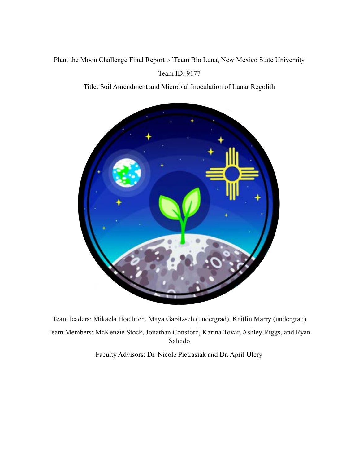# Plant the Moon Challenge Final Report of Team Bio Luna, New Mexico State University Team ID: 9177

Title: Soil Amendment and Microbial Inoculation of Lunar Regolith



Team leaders: Mikaela Hoellrich, Maya Gabitzsch (undergrad), Kaitlin Marry (undergrad) Team Members: McKenzie Stock, Jonathan Consford, Karina Tovar, Ashley Riggs, and Ryan Salcido

Faculty Advisors: Dr. Nicole Pietrasiak and Dr. April Ulery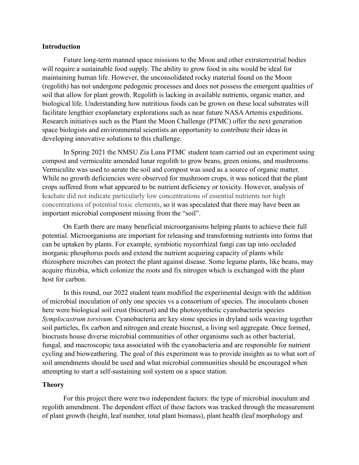### **Introduction**

Future long-term manned space missions to the Moon and other extraterrestrial bodies will require a sustainable food supply. The ability to grow food in situ would be ideal for maintaining human life. However, the unconsolidated rocky material found on the Moon (regolith) has not undergone pedogenic processes and does not possess the emergent qualities of soil that allow for plant growth. Regolith is lacking in available nutrients, organic matter, and biological life. Understanding how nutritious foods can be grown on these local substrates will facilitate lengthier exoplanetary explorations such as near future NASA Artemis expeditions. Research initiatives such as the Plant the Moon Challenge (PTMC) offer the next generation space biologists and environmental scientists an opportunity to contribute their ideas in developing innovative solutions to this challenge.

In Spring 2021 the NMSU Zia Luna PTMC student team carried out an experiment using compost and vermiculite amended lunar regolith to grow beans, green onions, and mushrooms. Vermiculite was used to aerate the soil and compost was used as a source of organic matter. While no growth deficiencies were observed for mushroom crops, it was noticed that the plant crops suffered from what appeared to be nutrient deficiency or toxicity. However, analysis of leachate did not indicate particularly low concentrations of essential nutrients nor high concentrations of potential toxic elements, so it was speculated that there may have been an important microbial component missing from the "soil".

On Earth there are many beneficial microorganisms helping plants to achieve their full potential. Microorganisms are important for releasing and transforming nutrients into forms that can be uptaken by plants. For example, symbiotic mycorrhizal fungi can tap into occluded inorganic phosphorus pools and extend the nutrient acquiring capacity of plants while rhizosphere microbes can protect the plant against disease. Some legume plants, like beans, may acquire rhizobia, which colonize the roots and fix nitrogen which is exchanged with the plant host for carbon.

In this round, our 2022 student team modified the experimental design with the addition of microbial inoculation of only one species vs a consortium of species. The inoculants chosen here were biological soil crust (biocrust) and the photosynthetic cyanobacteria species *Symplocastrum torsivum.* Cyanobacteria are key stone species in dryland soils weaving together soil particles, fix carbon and nitrogen and create biocrust, a living soil aggregate. Once formed, biocrusts house diverse microbial communities of other organisms such as other bacterial, fungal, and macroscopic taxa associated with the cyanobacteria and are responsible for nutrient cycling and bioweathering. The goal of this experiment was to provide insights as to what sort of soil amendments should be used and what microbial communities should be encouraged when attempting to start a self-sustaining soil system on a space station.

### **Theory**

For this project there were two independent factors: the type of microbial inoculum and regolith amendment. The dependent effect of these factors was tracked through the measurement of plant growth (height, leaf number, total plant biomass), plant health (leaf morphology and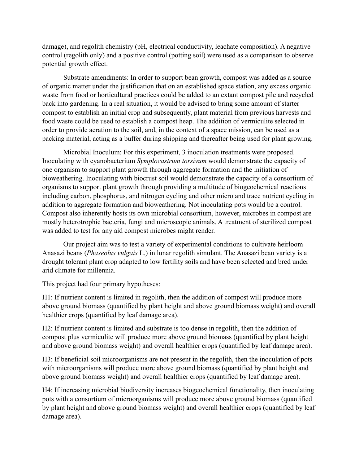damage), and regolith chemistry (pH, electrical conductivity, leachate composition). A negative control (regolith only) and a positive control (potting soil) were used as a comparison to observe potential growth effect.

Substrate amendments: In order to support bean growth, compost was added as a source of organic matter under the justification that on an established space station, any excess organic waste from food or horticultural practices could be added to an extant compost pile and recycled back into gardening. In a real situation, it would be advised to bring some amount of starter compost to establish an initial crop and subsequently, plant material from previous harvests and food waste could be used to establish a compost heap. The addition of vermiculite selected in order to provide aeration to the soil, and, in the context of a space mission, can be used as a packing material, acting as a buffer during shipping and thereafter being used for plant growing.

Microbial Inoculum: For this experiment, 3 inoculation treatments were proposed. Inoculating with cyanobacterium *Symplocastrum torsivum* would demonstrate the capacity of one organism to support plant growth through aggregate formation and the initiation of bioweathering. Inoculating with biocrust soil would demonstrate the capacity of a consortium of organisms to support plant growth through providing a multitude of biogeochemical reactions including carbon, phosphorus, and nitrogen cycling and other micro and trace nutrient cycling in addition to aggregate formation and bioweathering. Not inoculating pots would be a control. Compost also inherently hosts its own microbial consortium, however, microbes in compost are mostly heterotrophic bacteria, fungi and microscopic animals. A treatment of sterilized compost was added to test for any aid compost microbes might render.

Our project aim was to test a variety of experimental conditions to cultivate heirloom Anasazi beans (*Phaseolus vulgais* L.) in lunar regolith simulant. The Anasazi bean variety is a drought tolerant plant crop adapted to low fertility soils and have been selected and bred under arid climate for millennia.

This project had four primary hypotheses:

H1: If nutrient content is limited in regolith, then the addition of compost will produce more above ground biomass (quantified by plant height and above ground biomass weight) and overall healthier crops (quantified by leaf damage area).

H2: If nutrient content is limited and substrate is too dense in regolith, then the addition of compost plus vermiculite will produce more above ground biomass (quantified by plant height and above ground biomass weight) and overall healthier crops (quantified by leaf damage area).

H3: If beneficial soil microorganisms are not present in the regolith, then the inoculation of pots with microorganisms will produce more above ground biomass (quantified by plant height and above ground biomass weight) and overall healthier crops (quantified by leaf damage area).

H4: If increasing microbial biodiversity increases biogeochemical functionality, then inoculating pots with a consortium of microorganisms will produce more above ground biomass (quantified by plant height and above ground biomass weight) and overall healthier crops (quantified by leaf damage area).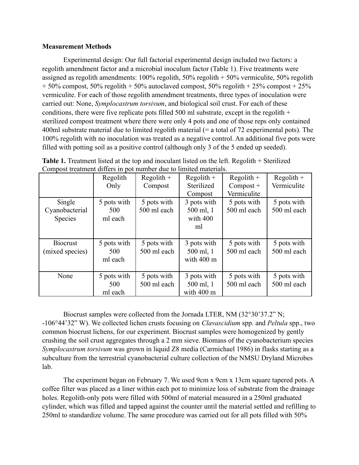### **Measurement Methods**

Experimental design: Our full factorial experimental design included two factors: a regolith amendment factor and a microbial inoculum factor (Table 1). Five treatments were assigned as regolith amendments: 100% regolith, 50% regolith + 50% vermiculite, 50% regolith  $+ 50\%$  compost, 50% regolith  $+ 50\%$  autoclaved compost, 50% regolith  $+ 25\%$  compost  $+ 25\%$ vermiculite. For each of those regolith amendment treatments, three types of inoculation were carried out: None, *Symplocastrum torsivum*, and biological soil crust. For each of these conditions, there were five replicate pots filled 500 ml substrate, except in the regolith + sterilized compost treatment where there were only 4 pots and one of those reps only contained 400ml substrate material due to limited regolith material (= a total of 72 experimental pots). The 100% regolith with no inoculation was treated as a negative control. An additional five pots were filled with potting soil as a positive control (although only 3 of the 5 ended up seeded).

|                                     | Regolith<br>Only              | $Regolith +$<br>Compost    | $Regolith +$<br>Sterilized<br>Compost            | $Regolith +$<br>$Compost +$<br>Vermiculite | $Regolith +$<br>Vermiculite |
|-------------------------------------|-------------------------------|----------------------------|--------------------------------------------------|--------------------------------------------|-----------------------------|
| Single<br>Cyanobacterial<br>Species | 5 pots with<br>500<br>ml each | 5 pots with<br>500 ml each | 3 pots with<br>500 ml, 1<br>with 400<br>ml       | 5 pots with<br>500 ml each                 | 5 pots with<br>500 ml each  |
| <b>Biocrust</b><br>(mixed species)  | 5 pots with<br>500<br>ml each | 5 pots with<br>500 ml each | 3 pots with<br>500 ml, 1<br>with $400 \text{ m}$ | 5 pots with<br>500 ml each                 | 5 pots with<br>500 ml each  |
| None                                | 5 pots with<br>500<br>ml each | 5 pots with<br>500 ml each | 3 pots with<br>500 ml, 1<br>with 400 m           | 5 pots with<br>500 ml each                 | 5 pots with<br>500 ml each  |

| <b>Table 1.</b> Treatment listed at the top and inoculant listed on the left. Regolith + Sterilized |  |  |  |
|-----------------------------------------------------------------------------------------------------|--|--|--|
| Compost treatment differs in pot number due to limited materials.                                   |  |  |  |

Biocrust samples were collected from the Jornada LTER, NM (32°30'37.2" N; -106°44'32" W). We collected lichen crusts focusing on *Clavascidium* spp. and *Peltula* spp., two common biocrust lichens, for our experiment. Biocrust samples were homogenized by gently crushing the soil crust aggregates through a 2 mm sieve. Biomass of the cyanobacterium species *Symplocastrum torsivum* was grown in liquid Z8 media (Carmichael 1986) in flasks starting as a subculture from the terrestrial cyanobacterial culture collection of the NMSU Dryland Microbes lab.

The experiment began on February 7. We used 9cm x 9cm x 13cm square tapered pots. A coffee filter was placed as a liner within each pot to minimize loss of substrate from the drainage holes. Regolith-only pots were filled with 500ml of material measured in a 250ml graduated cylinder, which was filled and tapped against the counter until the material settled and refilling to 250ml to standardize volume. The same procedure was carried out for all pots filled with 50%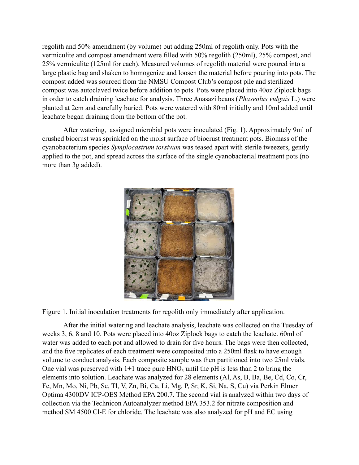regolith and 50% amendment (by volume) but adding 250ml of regolith only. Pots with the vermiculite and compost amendment were filled with 50% regolith (250ml), 25% compost, and 25% vermiculite (125ml for each). Measured volumes of regolith material were poured into a large plastic bag and shaken to homogenize and loosen the material before pouring into pots. The compost added was sourced from the NMSU Compost Club's compost pile and sterilized compost was autoclaved twice before addition to pots. Pots were placed into 40oz Ziplock bags in order to catch draining leachate for analysis. Three Anasazi beans (*Phaseolus vulgais* L.) were planted at 2cm and carefully buried. Pots were watered with 80ml initially and 10ml added until leachate began draining from the bottom of the pot.

After watering, assigned microbial pots were inoculated (Fig. 1). Approximately 9ml of crushed biocrust was sprinkled on the moist surface of biocrust treatment pots. Biomass of the cyanobacterium species *Symplocastrum torsivum* was teased apart with sterile tweezers, gently applied to the pot, and spread across the surface of the single cyanobacterial treatment pots (no more than 3g added).



Figure 1. Initial inoculation treatments for regolith only immediately after application.

After the initial watering and leachate analysis, leachate was collected on the Tuesday of weeks 3, 6, 8 and 10. Pots were placed into 40oz Ziplock bags to catch the leachate. 60ml of water was added to each pot and allowed to drain for five hours. The bags were then collected, and the five replicates of each treatment were composited into a 250ml flask to have enough volume to conduct analysis. Each composite sample was then partitioned into two 25ml vials. One vial was preserved with  $1+1$  trace pure  $HNO_3$  until the pH is less than 2 to bring the elements into solution. Leachate was analyzed for 28 elements (Al, As, B, Ba, Be, Cd, Co, Cr, Fe, Mn, Mo, Ni, Pb, Se, Tl, V, Zn, Bi, Ca, Li, Mg, P, Sr, K, Si, Na, S, Cu) via Perkin Elmer Optima 4300DV ICP-OES Method EPA 200.7. The second vial is analyzed within two days of collection via the Technicon Autoanalyzer method EPA 353.2 for nitrate composition and method SM 4500 Cl-E for chloride. The leachate was also analyzed for pH and EC using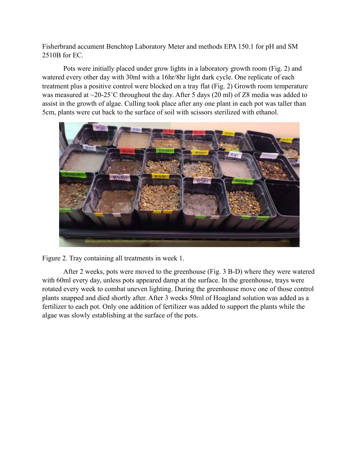Fisherbrand accument Benchtop Laboratory Meter and methods EPA 150.1 for pH and SM 2510B for EC.

Pots were initially placed under grow lights in a laboratory growth room (Fig. 2) and watered every other day with 30ml with a 16hr/8hr light dark cycle. One replicate of each treatment plus a positive control were blocked on a tray flat (Fig. 2) Growth room temperature was measured at  $\sim$ 20-25°C throughout the day. After 5 days (20 ml) of Z8 media was added to assist in the growth of algae. Culling took place after any one plant in each pot was taller than 5cm, plants were cut back to the surface of soil with scissors sterilized with ethanol.



Figure 2. Tray containing all treatments in week 1.

After 2 weeks, pots were moved to the greenhouse (Fig. 3 B-D) where they were watered with 60ml every day, unless pots appeared damp at the surface. In the greenhouse, trays were rotated every week to combat uneven lighting. During the greenhouse move one of those control plants snapped and died shortly after. After 3 weeks 50ml of Hoagland solution was added as a fertilizer to each pot. Only one addition of fertilizer was added to support the plants while the algae was slowly establishing at the surface of the pots.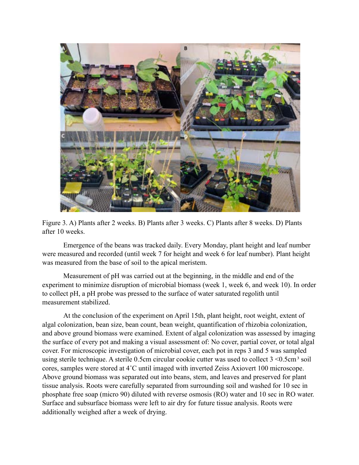

Figure 3. A) Plants after 2 weeks. B) Plants after 3 weeks. C) Plants after 8 weeks. D) Plants after 10 weeks.

Emergence of the beans was tracked daily. Every Monday, plant height and leaf number were measured and recorded (until week 7 for height and week 6 for leaf number). Plant height was measured from the base of soil to the apical meristem.

Measurement of pH was carried out at the beginning, in the middle and end of the experiment to minimize disruption of microbial biomass (week 1, week 6, and week 10). In order to collect pH, a pH probe was pressed to the surface of water saturated regolith until measurement stabilized.

At the conclusion of the experiment on April 15th, plant height, root weight, extent of algal colonization, bean size, bean count, bean weight, quantification of rhizobia colonization, and above ground biomass were examined. Extent of algal colonization was assessed by imaging the surface of every pot and making a visual assessment of: No cover, partial cover, or total algal cover. For microscopic investigation of microbial cover, each pot in reps 3 and 5 was sampled using sterile technique. A sterile 0.5cm circular cookie cutter was used to collect  $3 \le 0.5$ cm<sup>3</sup> soil cores, samples were stored at 4˚C until imaged with inverted Zeiss Axiovert 100 microscope. Above ground biomass was separated out into beans, stem, and leaves and preserved for plant tissue analysis. Roots were carefully separated from surrounding soil and washed for 10 sec in phosphate free soap (micro 90) diluted with reverse osmosis (RO) water and 10 sec in RO water. Surface and subsurface biomass were left to air dry for future tissue analysis. Roots were additionally weighed after a week of drying.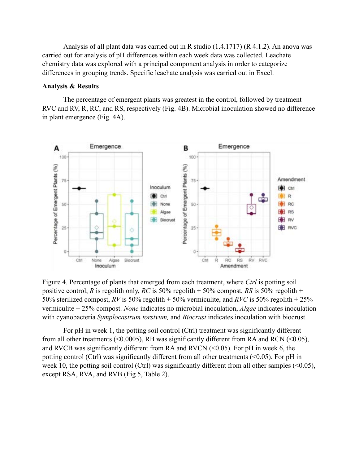Analysis of all plant data was carried out in R studio (1.4.1717) (R 4.1.2). An anova was carried out for analysis of pH differences within each week data was collected. Leachate chemistry data was explored with a principal component analysis in order to categorize differences in grouping trends. Specific leachate analysis was carried out in Excel.

#### **Analysis & Results**

The percentage of emergent plants was greatest in the control, followed by treatment RVC and RV, R, RC, and RS, respectively (Fig. 4B). Microbial inoculation showed no difference in plant emergence (Fig. 4A).



Figure 4. Percentage of plants that emerged from each treatment, where *Ctrl* is potting soil positive control, *R* is regolith only, *RC* is 50% regolith + 50% compost, *RS* is 50% regolith + 50% sterilized compost, *RV* is 50% regolith + 50% vermiculite, and *RVC* is 50% regolith + 25% vermiculite + 25% compost. *None* indicates no microbial inoculation, *Algae* indicates inoculation with cyanobacteria *Symplocastrum torsivum,* and *Biocrust* indicates inoculation with biocrust.

For pH in week 1, the potting soil control (Ctrl) treatment was significantly different from all other treatments ( $\leq 0.0005$ ), RB was significantly different from RA and RCN ( $\leq 0.05$ ), and RVCB was significantly different from RA and RVCN  $( $0.05$ ).$  For pH in week 6, the potting control (Ctrl) was significantly different from all other treatments (<0.05). For pH in week 10, the potting soil control (Ctrl) was significantly different from all other samples  $(\leq 0.05)$ , except RSA, RVA, and RVB (Fig 5, Table 2).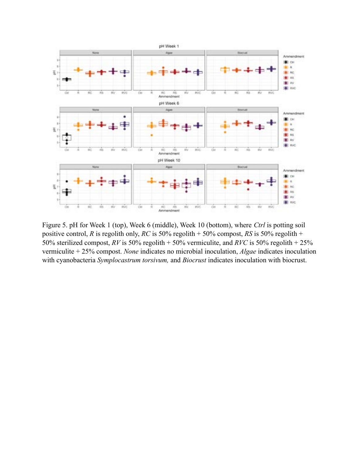

Figure 5. pH for Week 1 (top), Week 6 (middle), Week 10 (bottom), where *Ctrl* is potting soil positive control, *R* is regolith only, *RC* is 50% regolith + 50% compost, *RS* is 50% regolith + 50% sterilized compost, *RV* is 50% regolith + 50% vermiculite, and *RVC* is 50% regolith + 25% vermiculite + 25% compost. *None* indicates no microbial inoculation, *Algae* indicates inoculation with cyanobacteria *Symplocastrum torsivum,* and *Biocrust* indicates inoculation with biocrust.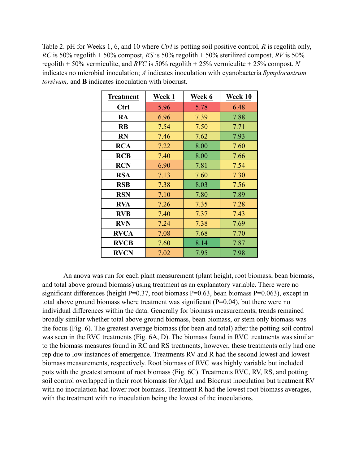Table 2. pH for Weeks 1, 6, and 10 where *Ctrl* is potting soil positive control, *R* is regolith only, *RC* is 50% regolith + 50% compost, *RS* is 50% regolith + 50% sterilized compost, *RV* is 50% regolith + 50% vermiculite, and *RVC* is 50% regolith + 25% vermiculite + 25% compost. *N* indicates no microbial inoculation; *A* indicates inoculation with cyanobacteria *Symplocastrum torsivum,* and **B** indicates inoculation with biocrust.

| Treatment   | Week 1 | Week 6 | <b>Week 10</b> |
|-------------|--------|--------|----------------|
| Ctrl        | 5.96   | 5.78   | 6.48           |
| RA          | 6.96   | 7.39   | 7.88           |
| <b>RB</b>   | 7.54   | 7.50   | 7.71           |
| <b>RN</b>   | 7.46   | 7.62   | 7.93           |
| <b>RCA</b>  | 7.22   | 8.00   | 7.60           |
| <b>RCB</b>  | 7.40   | 8.00   | 7.66           |
| <b>RCN</b>  | 6.90   | 7.81   | 7.54           |
| <b>RSA</b>  | 7.13   | 7.60   | 7.30           |
| <b>RSB</b>  | 7.38   | 8.03   | 7.56           |
| <b>RSN</b>  | 7.10   | 7.80   | 7.89           |
| <b>RVA</b>  | 7.26   | 7.35   | 7.28           |
| <b>RVB</b>  | 7.40   | 7.37   | 7.43           |
| <b>RVN</b>  | 7.24   | 7.38   | 7.69           |
| <b>RVCA</b> | 7.08   | 7.68   | 7.70           |
| <b>RVCB</b> | 7.60   | 8.14   | 7.87           |
| <b>RVCN</b> | 7.02   | 7.95   | 7.98           |

An anova was run for each plant measurement (plant height, root biomass, bean biomass, and total above ground biomass) using treatment as an explanatory variable. There were no significant differences (height P=0.37, root biomass P=0.63, bean biomass P=0.063), except in total above ground biomass where treatment was significant  $(P=0.04)$ , but there were no individual differences within the data. Generally for biomass measurements, trends remained broadly similar whether total above ground biomass, bean biomass, or stem only biomass was the focus (Fig. 6). The greatest average biomass (for bean and total) after the potting soil control was seen in the RVC treatments (Fig. 6A, D). The biomass found in RVC treatments was similar to the biomass measures found in RC and RS treatments, however, these treatments only had one rep due to low instances of emergence. Treatments RV and R had the second lowest and lowest biomass measurements, respectively. Root biomass of RVC was highly variable but included pots with the greatest amount of root biomass (Fig. 6C). Treatments RVC, RV, RS, and potting soil control overlapped in their root biomass for Algal and Biocrust inoculation but treatment RV with no inoculation had lower root biomass. Treatment R had the lowest root biomass averages, with the treatment with no inoculation being the lowest of the inoculations.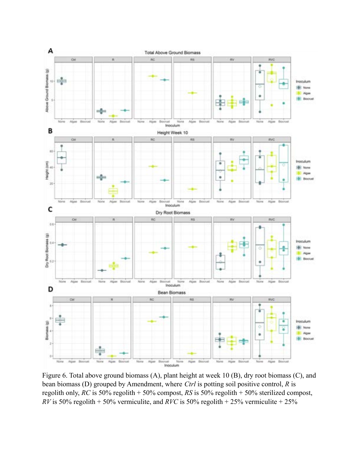

Figure 6. Total above ground biomass (A), plant height at week 10 (B), dry root biomass (C), and bean biomass (D) grouped by Amendment, where *Ctrl* is potting soil positive control, *R* is regolith only, *RC* is 50% regolith + 50% compost, *RS* is 50% regolith + 50% sterilized compost, *RV* is 50% regolith + 50% vermiculite, and *RVC* is 50% regolith + 25% vermiculite + 25%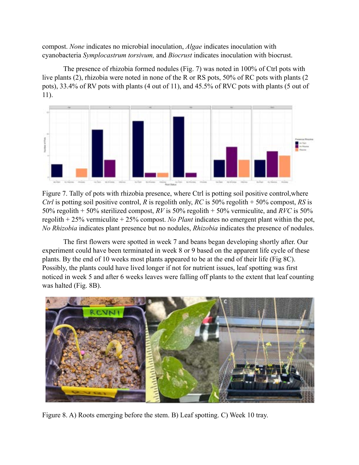compost. *None* indicates no microbial inoculation, *Algae* indicates inoculation with cyanobacteria *Symplocastrum torsivum,* and *Biocrust* indicates inoculation with biocrust.

The presence of rhizobia formed nodules (Fig. 7) was noted in 100% of Ctrl pots with live plants (2), rhizobia were noted in none of the R or RS pots, 50% of RC pots with plants (2 pots), 33.4% of RV pots with plants (4 out of 11), and 45.5% of RVC pots with plants (5 out of 11).



Figure 7. Tally of pots with rhizobia presence, where Ctrl is potting soil positive control,where *Ctrl* is potting soil positive control, *R* is regolith only, *RC* is 50% regolith + 50% compost, *RS* is 50% regolith + 50% sterilized compost, *RV* is 50% regolith + 50% vermiculite, and *RVC* is 50% regolith + 25% vermiculite + 25% compost. *No Plant* indicates no emergent plant within the pot, *No Rhizobia* indicates plant presence but no nodules, *Rhizobia* indicates the presence of nodules.

The first flowers were spotted in week 7 and beans began developing shortly after. Our experiment could have been terminated in week 8 or 9 based on the apparent life cycle of these plants. By the end of 10 weeks most plants appeared to be at the end of their life (Fig 8C). Possibly, the plants could have lived longer if not for nutrient issues, leaf spotting was first noticed in week 5 and after 6 weeks leaves were falling off plants to the extent that leaf counting was halted (Fig. 8B).



Figure 8. A) Roots emerging before the stem. B) Leaf spotting. C) Week 10 tray.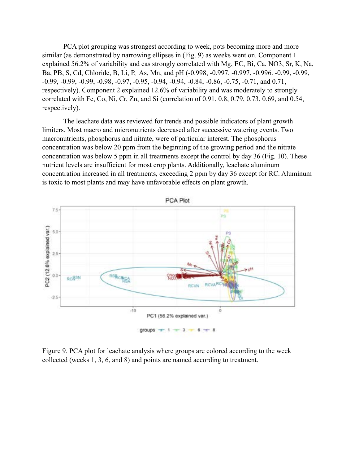PCA plot grouping was strongest according to week, pots becoming more and more similar (as demonstrated by narrowing ellipses in (Fig. 9) as weeks went on. Component 1 explained 56.2% of variability and eas strongly correlated with Mg, EC, Bi, Ca, NO3, Sr, K, Na, Ba, PB, S, Cd, Chloride, B, Li, P, As, Mn, and pH (-0.998, -0.997, -0.997, -0.996. -0.99, -0.99, -0.99, -0.99, -0.99, -0.98, -0.97, -0.95, -0.94, -0.94, -0.84, -0.86, -0.75, -0.71, and 0.71, respectively). Component 2 explained 12.6% of variability and was moderately to strongly correlated with Fe, Co, Ni, Cr, Zn, and Si (correlation of 0.91, 0.8, 0.79, 0.73, 0.69, and 0.54, respectively).

The leachate data was reviewed for trends and possible indicators of plant growth limiters. Most macro and micronutrients decreased after successive watering events. Two macronutrients, phosphorus and nitrate, were of particular interest. The phosphorus concentration was below 20 ppm from the beginning of the growing period and the nitrate concentration was below 5 ppm in all treatments except the control by day 36 (Fig. 10). These nutrient levels are insufficient for most crop plants. Additionally, leachate aluminum concentration increased in all treatments, exceeding 2 ppm by day 36 except for RC. Aluminum is toxic to most plants and may have unfavorable effects on plant growth.



Figure 9. PCA plot for leachate analysis where groups are colored according to the week collected (weeks 1, 3, 6, and 8) and points are named according to treatment.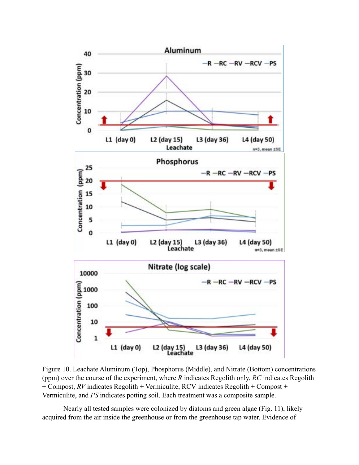

Figure 10. Leachate Aluminum (Top), Phosphorus (Middle), and Nitrate (Bottom) concentrations (ppm) over the course of the experiment, where *R* indicates Regolith only, *RC* indicates Regolith + Compost, *RV* indicates Regolith + Vermiculite, RCV indicates Regolith + Compost + Vermiculite, and *PS* indicates potting soil. Each treatment was a composite sample.

Nearly all tested samples were colonized by diatoms and green algae (Fig. 11), likely acquired from the air inside the greenhouse or from the greenhouse tap water. Evidence of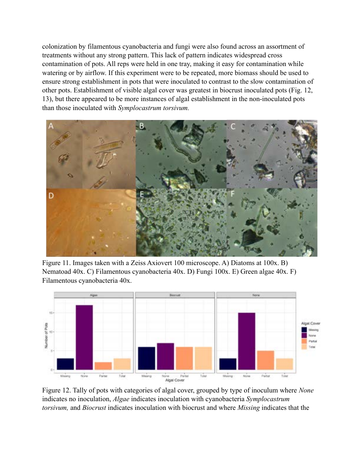colonization by filamentous cyanobacteria and fungi were also found across an assortment of treatments without any strong pattern. This lack of pattern indicates widespread cross contamination of pots. All reps were held in one tray, making it easy for contamination while watering or by airflow. If this experiment were to be repeated, more biomass should be used to ensure strong establishment in pots that were inoculated to contrast to the slow contamination of other pots. Establishment of visible algal cover was greatest in biocrust inoculated pots (Fig. 12, 13), but there appeared to be more instances of algal establishment in the non-inoculated pots than those inoculated with *Symplocastrum torsivum.*



Figure 11. Images taken with a Zeiss Axiovert 100 microscope. A) Diatoms at 100x. B) Nematoad 40x. C) Filamentous cyanobacteria 40x. D) Fungi 100x. E) Green algae 40x. F) Filamentous cyanobacteria 40x.



Figure 12. Tally of pots with categories of algal cover, grouped by type of inoculum where *None* indicates no inoculation, *Algae* indicates inoculation with cyanobacteria *Symplocastrum torsivum,* and *Biocrust* indicates inoculation with biocrust and where *Missing* indicates that the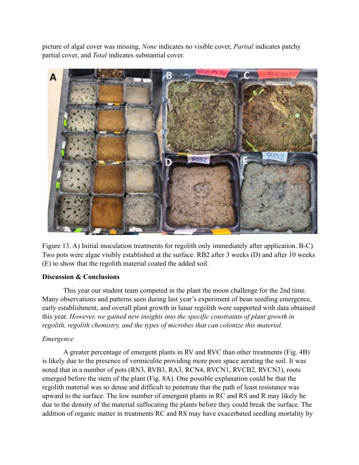picture of algal cover was missing, *None* indicates no visible cover, *Partial* indicates patchy partial cover, and *Total* indicates substantial cover.



Figure 13. A) Initial inoculation treatments for regolith only immediately after application. B-C) Two pots were algae visibly established at the surface. RB2 after 3 weeks (D) and after 10 weeks (E) to show that the regolith material coated the added soil.

### **Discussion & Conclusions**

This year our student team competed in the plant the moon challenge for the 2nd time. Many observations and patterns seen during last year's experiment of bean seedling emergence, early establishment, and overall plant growth in lunar regolith were supported with data obtained this year. *However, we gained new insights into the specific constraints of plant growth in regolith, regolith chemistry, and the types of microbes that can colonize this material.*

### *Emergence*

A greater percentage of emergent plants in RV and RVC than other treatments (Fig. 4B) is likely due to the presence of vermiculite providing more pore space aerating the soil. It was noted that in a number of pots (RN3, RVB3, RA3, RCN4, RVCN1, RVCB2, RVCN3), roots emerged before the stem of the plant (Fig. 8A). One possible explanation could be that the regolith material was so dense and difficult to penetrate that the path of least resistance was upward to the surface. The low number of emergent plants in RC and RS and R may likely be due to the density of the material suffocating the plants before they could break the surface. The addition of organic matter in treatments RC and RS may have exacerbated seedling mortality by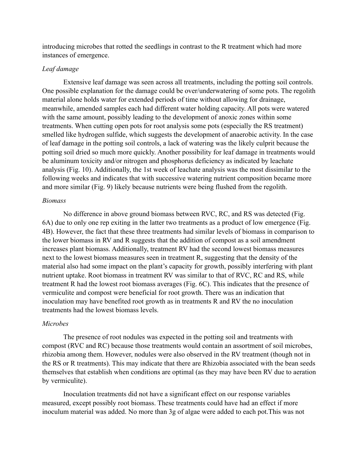introducing microbes that rotted the seedlings in contrast to the R treatment which had more instances of emergence.

### *Leaf damage*

Extensive leaf damage was seen across all treatments, including the potting soil controls. One possible explanation for the damage could be over/underwatering of some pots. The regolith material alone holds water for extended periods of time without allowing for drainage, meanwhile, amended samples each had different water holding capacity. All pots were watered with the same amount, possibly leading to the development of anoxic zones within some treatments. When cutting open pots for root analysis some pots (especially the RS treatment) smelled like hydrogen sulfide, which suggests the development of anaerobic activity. In the case of leaf damage in the potting soil controls, a lack of watering was the likely culprit because the potting soil dried so much more quickly. Another possibility for leaf damage in treatments would be aluminum toxicity and/or nitrogen and phosphorus deficiency as indicated by leachate analysis (Fig. 10). Additionally, the 1st week of leachate analysis was the most dissimilar to the following weeks and indicates that with successive watering nutrient composition became more and more similar (Fig. 9) likely because nutrients were being flushed from the regolith.

#### *Biomass*

No difference in above ground biomass between RVC, RC, and RS was detected (Fig. 6A) due to only one rep exiting in the latter two treatments as a product of low emergence (Fig. 4B). However, the fact that these three treatments had similar levels of biomass in comparison to the lower biomass in RV and R suggests that the addition of compost as a soil amendment increases plant biomass. Additionally, treatment RV had the second lowest biomass measures next to the lowest biomass measures seen in treatment R, suggesting that the density of the material also had some impact on the plant's capacity for growth, possibly interfering with plant nutrient uptake. Root biomass in treatment RV was similar to that of RVC, RC and RS, while treatment R had the lowest root biomass averages (Fig. 6C). This indicates that the presence of vermiculite and compost were beneficial for root growth. There was an indication that inoculation may have benefited root growth as in treatments R and RV the no inoculation treatments had the lowest biomass levels.

#### *Microbes*

The presence of root nodules was expected in the potting soil and treatments with compost (RVC and RC) because those treatments would contain an assortment of soil microbes, rhizobia among them. However, nodules were also observed in the RV treatment (though not in the RS or R treatments). This may indicate that there are Rhizobia associated with the bean seeds themselves that establish when conditions are optimal (as they may have been RV due to aeration by vermiculite).

Inoculation treatments did not have a significant effect on our response variables measured, except possibly root biomass. These treatments could have had an effect if more inoculum material was added. No more than 3g of algae were added to each pot.This was not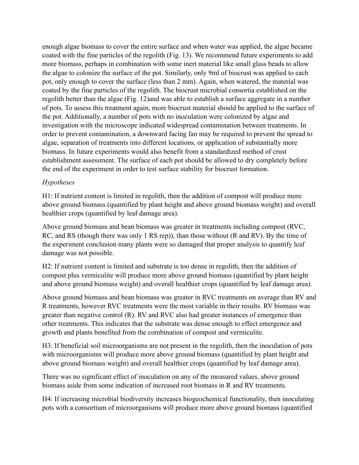enough algae biomass to cover the entire surface and when water was applied, the algae became coated with the fine particles of the regolith (Fig. 13). We recommend future experiments to add more biomass, perhaps in combination with some inert material like small glass beads to allow the algae to colonize the surface of the pot. Similarly, only 9ml of biocrust was applied to each pot, only enough to cover the surface (less than 2 mm). Again, when watered, the material was coated by the fine particles of the regolith. The biocrust microbial consortia established on the regolith better than the algae (Fig. 12)and was able to establish a surface aggregate in a number of pots. To assess this treatment again, more biocrust material should be applied to the surface of the pot. Additionally, a number of pots with no inoculation were colonized by algae and investigation with the microscope indicated widespread contamination between treatments. In order to prevent contamination, a downward facing fan may be required to prevent the spread to algae, separation of treatments into different locations, or application of substantially more biomass. In future experiments would also benefit from a standardized method of crust establishment assessment. The surface of each pot should be allowed to dry completely before the end of the experiment in order to test surface stability for biocrust formation.

# *Hypotheses*

H1: If nutrient content is limited in regolith, then the addition of compost will produce more above ground biomass (quantified by plant height and above ground biomass weight) and overall healthier crops (quantified by leaf damage area).

Above ground biomass and bean biomass was greater in treatments including compost (RVC, RC, and RS (though there was only 1 RS rep)), than those without (R and RV). By the time of the experiment conclusion many plants were so damaged that proper analysis to quantify leaf damage was not possible.

H2: If nutrient content is limited and substrate is too dense in regolith, then the addition of compost plus vermiculite will produce more above ground biomass (quantified by plant height and above ground biomass weight) and overall healthier crops (quantified by leaf damage area).

Above ground biomass and bean biomass was greater in RVC treatments on average than RV and R treatments, however RVC treatments were the most variable in their results. RV biomass was greater than negative control (R). RV and RVC also had greater instances of emergence than other treatments. This indicates that the substrate was dense enough to effect emergence and growth and plants benefited from the combination of compost and vermiculite.

H3: If beneficial soil microorganisms are not present in the regolith, then the inoculation of pots with microorganisms will produce more above ground biomass (quantified by plant height and above ground biomass weight) and overall healthier crops (quantified by leaf damage area).

There was no significant effect of inoculation on any of the measured values, above ground biomass aside from some indication of increased root biomass in R and RV treatments.

H4: If increasing microbial biodiversity increases biogeochemical functionality, then inoculating pots with a consortium of microorganisms will produce more above ground biomass (quantified